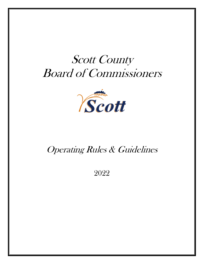# Scott County Board of Commissioners



# Operating Rules & Guidelines

2022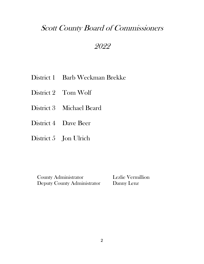# Scott County Board of Commissioners

# 2022

- District 1 Barb Weckman Brekke
- District 2 Tom Wolf
- District 3 Michael Beard
- District 4 Dave Beer
- District 5 Jon Ulrich

County Administrator Lezlie Vermillion Deputy County Administrator Danny Lenz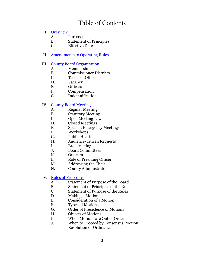# Table of Contents

# I. [Overview](#page-4-0)

- A. Purpose
- B. Statement of Principles
- C. Effective Date
- II. [Amendments to Operating Rules](#page-4-1)

# III. [County Board Organization](#page-4-2)

- A. Membership
- B. Commissioner Districts
- C. Terms of Office
- D. Vacancy
- E. Officers
- F. Compensation
- G. Indemnification

# IV. [County Board Meetings](#page-6-0)

- A. Regular Meeting<br>B. Statutory Meeting
- **Statutory Meeting**
- C. Open Meeting Law
- D. Closed Meetings
- E. Special/Emergency Meetings
- F. Workshops
- G. Public Hearings
- H. Audience/Citizen Requests
- I. Broadcasting
- J. Board Committees
- K. Quorum
- L. Role of Presiding Officer
- M. Addressing the Chair
- N. County Administrator

# V. [Rules of Procedure](#page-9-0)

- A. Statement of Purpose of the Board
- B. Statement of Principles of the Rules
- C. Statement of Purpose of the Rules
- D. Making a Motion
- E. Consideration of a Motion
- F. Types of Motions
- G. Order of Precedence of Motions
- H. Objects of Motions
- I. When Motions are Out of Order
- J. When to Proceed by Consensus, Motion, Resolution or Ordinance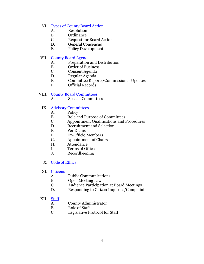# VI. Types [of County Board Action](#page-14-0)

- A. Resolution
- B. Ordinance
- C. Request for Board Action
- D. General Consensus
- E. Policy Development

# VII. [County Board Agenda](#page-16-0)

- A. Preparation and Distribution
- B. Order of Business<br>C. Consent Agenda
- Consent Agenda
- D. Regular Agenda
- E. Committee Reports/Commissioner Updates
- F. Official Records

# VIII. [County Board Committees](#page-18-0)

- A. Special Committees
- IX. [Advisory Committees](#page-18-1)
	- A. Policy
	- B. Role and Purpose of Committees<br>C. Appointment Oualifications and l
	- Appointment Qualifications and Procedures
	- D. Recruitment and Selection
	- E. Per Diems
	- F. Ex-Officio Members
	- G. Appointment of Chairs
	- H. Attendance
	- I. Terms of Office
	- J. Recordkeeping
- X. [Code of Ethics](#page-21-0)
- XI. [Citizens](#page-21-1)
	- A. Public Communications
	- B. Open Meeting Law
	- C. Audience Participation at Board Meetings
	- D. Responding to Citizen Inquiries/Complaints

### XII. [Staff](#page-23-0)

- A. County Administrator
- B. Role of Staff
- C. Legislative Protocol for Staff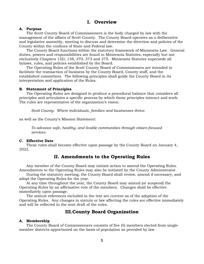# <span id="page-4-0"></span>**I. Overview**

#### **A. Purpose**

The Scott County Board of Commissioners is the body charged by law with the management of the affairs of Scott County. The County Board operates as a deliberative and legislative assembly, meeting to discuss and determine the direction and policies of the County within the confines of State and Federal law.

The County Board functions within the statutory framework of Minnesota Law. General duties, powers and responsibilities are found in Minnesota Statutes, especially but not exclusively Chapters 13D, 138, 370, 373 and 375. Minnesota Statutes supersede all bylaws, rules, and policies established by the Board.

The Operating Rules of the Scott County Board of Commissioners are intended to facilitate the transaction of business by the County Board, County staff, and the established committees. The following principles shall guide the County Board in its interpretation and application of the Rules.

#### **B. Statement of Principles**

The Operating Rules are designed to produce a procedural balance that considers all principles and articulates a specific process by which those principles interact and work. The rules are representative of the organization's vision:

*Scott County: Where individuals, families and businesses thrive.*

as well as the County's Mission Statement:

*To advance safe, healthy, and livable communities through citizen-focused services.*

#### **C. Effective Date**

These rules shall become effective upon passage by the County Board on January 4, 2022.

# <span id="page-4-1"></span>**II. Amendments to the Operating Rules**

Any member of the County Board may initiate action to amend the Operating Rules. Amendments to the Operating Rules may also be initiated by the County Administrator.

During the statutory meeting, the County Board shall review, amend if necessary, and adopt the Operating Rules for the year.

At any time throughout the year, the County Board may amend (or suspend) the Operating Rules by an affirmative vote of the members. Changes shall be effective immediately upon passage.

The statute references included in the text are current as of the adoption of the Operating Rules. Any changes in statute or law affecting the rules are effective immediately and will be reflected in the next draft of the rules.

# <span id="page-4-2"></span>**III.County Board Organization**

#### **A. Membership**

The County Board of Commissioners consists of five (5) members elected from singlemember districts apportioned on the basis of population as provided by law.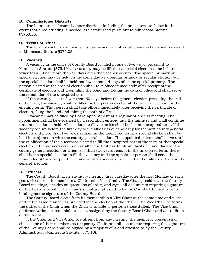#### **B. Commissioner Districts**

The boundaries of commissioner districts, including the procedures to follow in the event that a redistricting is needed, are established pursuant to Minnesota Statute §375.025.

#### **C. Terms of Office**

The term of each Board member is four years, except as otherwise established pursuant to Minnesota Statute §375.03.

#### **D. Vacancy**

A vacancy in the office of County Board is filled in one of two ways, pursuant to Minnesota Statute §375.101. A vacancy may be filled at a special election to be held not fewer than 30 nor more than 90 days after the vacancy occurs. The special primary or special election may be held on the same day as a regular primary or regular election but the special election shall be held not fewer than 14 days after the special primary. The person elected at the special election shall take office immediately after receipt of the certificate of election and upon filing the bond and taking the oath of office and shall serve the remainder of the unexpired term.

If the vacancy occurs fewer than 60 days before the general election preceding the end of the term, the vacancy shall be filled by the person elected at the general election for the ensuing term. That person shall take office immediately after receiving the certificate of election, filing the bond and taking the oath of office.

A vacancy may be filled by Board appointment at a regular or special meeting. The appointment shall be evidenced by a resolution entered into the minutes and shall continue until an election is held. All elections to fill vacancies shall be for the unexpired term. If the vacancy occurs before the first day to file affidavits of candidacy for the next county general election and more than two years remain in the unexpired term, a special election shall be held in conjunction with the county general election. The appointed person shall serve until the qualification of the successor elected to fill the unexpired part of the term at that special election. If the vacancy occurs on or after the first day to file affidavits of candidacy for the county general election, or when less than two years remain in the unexpired term, there shall be no special election to fill the vacancy and the appointed person shall serve the remainder of the unexpired term and until a successor is elected and qualifies at the county general election.

#### **E. Officers**

The County Board, at its statutory meeting (first Tuesday after the first Monday of each year), elects from its members a Chair and a Vice-Chair. The Chair presides at the County Board meetings, decides on questions of order, and signs all documents requiring signature on the Board's behalf. The Chair's signature, attested to by the County Administrator, is binding as the signature of the County Board.

The County Board elects from its membership a Vice Chair at the same time and place and in the same manner as provided for the election of the Chair. The Vice Chair performs the duties of the Chair when the Chair is unable to perform those duties. The Vice Chair performs various ceremonial duties as assigned by the County Board Chair and as tradition of the Board.

If the Chair and Vice-Chair are absent from any meeting, the members present shall choose one of their members as temporary Chair, and all documents requiring the signature of the County Board shall be signed by a majority of it and attested to by the County Administrator (Minnesota Statute §375.13).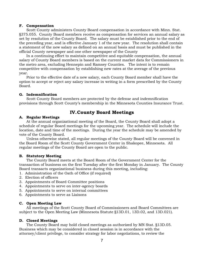#### **F. Compensation**

Scott County administers County Board compensation in accordance with Minn. Stat. §375.055. County Board members receive as compensation for services an annual salary as set by resolution of the County Board. The salary must be established prior to the end of the preceding year, and is effective January 1 of the new year. The resolution shall contain a statement of the new salary as defined on an annual basis and must be published in the official County newspaper and one other newspaper of the County

In a continuing effort to maintain competitive and equitable compensation, the annual salary of County Board members is based on the current market data for Commissioners in the metro area, excluding Hennepin and Ramsey Counties. The intent is to remain competitive with compensation by establishing new rates at the average of the previous year.

Prior to the effective date of a new salary, each County Board member shall have the option to accept or reject any salary increase in writing in a form prescribed by the County Board.

#### **G. Indemnification**

Scott County Board members are protected by the defense and indemnification provisions through Scott County's membership in the Minnesota Counties Insurance Trust.

# <span id="page-6-0"></span>**IV.County Board Meetings**

#### **A. Regular Meetings**

At the annual organizational meeting of the Board, the County Board shall adopt a schedule of regular Board meetings for the upcoming year. The schedule will include the location, date and time of the meetings. During the year the schedule may be amended by vote of the County Board.

Unless otherwise stated, all regular meetings of the County Board will be convened in the Board Room of the Scott County Government Center in Shakopee, Minnesota. All regular meetings of the County Board are open to the public.

#### **B. Statutory Meeting**

The County Board meets at the Board Room of the Government Center for the transaction of business on the first Tuesday after the first Monday in January. The County Board transacts organizational business during this meeting, including:

- 1. Administration of the Oath of Office (if required)
- 2. Election of officers
- 3. Appointments of Board Committee positions
- 4. Appointments to serve on inter-agency boards
- 5. Appointments to serve on internal committees
- 6. Appointments to serve as Liaisons

#### **C. Open Meeting Law**

All meetings of the Scott County Board of Commissioners and Board Committees are subject to the Open Meeting Law (Minnesota Statute §13D.01, 13D.02, and 13D.021).

#### **D. Closed Meetings**

The County Board may hold closed meetings as authorized by MN Stat. §13D.05. Business which may be considered in closed session is in accordance with the attorney/client privilege, to consider strategy for labor negotiations, to review the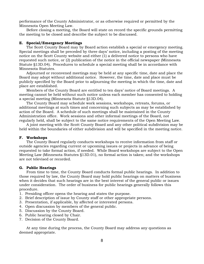performance of the County Administrator, or as otherwise required or permitted by the Minnesota Open Meeting Law.

Before closing a meeting, the Board will state on record the specific grounds permitting the meeting to be closed and describe the subject to be discussed.

#### **E. Special/Emergency Meetings**

The Scott County Board may by Board action establish a special or emergency meeting. Special meetings shall be preceded by three days' notice, including a posting of the meeting notice on the Scott County website and either (1) a delivered notice to persons who have requested such notice, or (2) publication of the notice in the official newspaper (Minnesota Statute §13D.04). Procedures to schedule a special meeting shall be in accordance with Minnesota Statutes.

Adjourned or reconvened meetings may be held at any specific time, date and place the Board may adopt without additional notice. However, the time, date and place must be publicly specified by the Board prior to adjourning the meeting in which the time, date and place are established.

Members of the County Board are entitled to ten days' notice of Board meetings. A meeting cannot be held without such notice unless each member has consented to holding a special meeting (Minnesota Statute §13D.04).

The County Board may schedule work sessions, workshops, retreats, forums, or additional meetings at such times and concerning such subjects as may be established by action of the Board. A schedule of such meetings shall be maintained in the County Administration office. Work sessions and other informal meetings of the Board, not regularly held, shall be subject to the same notice requirements of the Open Meeting Law.

A joint meeting with the Scott County Board and any other political subdivision may be held within the boundaries of either subdivision and will be specified in the meeting notice.

#### **F. Workshops**

The County Board regularly conducts workshops to receive information from staff or outside agencies regarding current or upcoming issues or projects in advance of being requested to take formal action, if needed. While Board workshops are subject to the Open Meeting Law (Minnesota Statutes §13D.01), no formal action is taken; and the workshops are not televised or recorded.

#### **G. Public Hearings**

From time to time, the County Board conducts formal public hearings. In addition to those required by law, the County Board may hold public hearings on matters of business when it decides that such hearings are in the best interest of the general public or issues under consideration. The order of business for public hearings generally follows this procedure.

- 1. Presiding officer opens the hearing and states the purpose.
- 2. Brief description of issue by County staff or other appropriate persons.
- 3. Presentation, if applicable, by affected or interested persons.
- 4. Open discussion by members of the general public.
- 5. Discussion by the County Board.
- 6. Public hearing closed by Chair.
- 7. Decision of the County Board.

At any time during the process, the County Board may address any questions as deemed appropriate.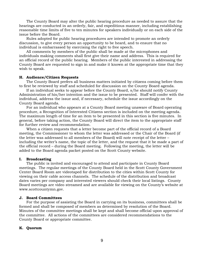The County Board may alter the public hearing procedure as needed to assure that the hearings are conducted in an orderly, fair, and expeditious manner, including establishing reasonable time limits of five to ten minutes for speakers individually or on each side of the issue before the Board.

Rules adopted for public hearing procedures are intended to promote an orderly discussion, to give every person an opportunity to be heard, and to ensure that no individual is embarrassed by exercising the right to free speech.

All comments by members of the public shall be made at the microphones and individuals making comments shall first give their name and address. This is required for an official record of the public hearing. Members of the public interested in addressing the County Board are requested to sign in and make it known at the appropriate time that they wish to speak.

#### **H. Audience/Citizen Requests**

The County Board prefers all business matters initiated by citizens coming before them to first be reviewed by staff and scheduled for discussion on the County Board agenda.

If an individual seeks to appear before the County Board, s/he should notify County Administration of his/her intention and the issue to be presented. Staff will confer with the individual, address the issue and, if necessary, schedule the issue accordingly on the County Board agenda.

For an individual who appears at a County Board meeting unaware of Board operating procedure, a Recognition of Interested Citizens section is included on the meeting agenda. The maximum length of time for an item to be presented in this section is five minutes. In general, before taking action, the County Board will direct the item to the appropriate staff for further review and recommendation.

When a citizen requests that a letter become part of the official record of a Board meeting, the Commissioner to whom the letter was addressed or the Chair of the Board (if the letter was addressed to all members of the Board) will note receipt of the letter – including the writer's name, the topic of the letter, and the request that it be made a part of the official record – during the Board meeting. Following the meeting, the letter will be added to the Board agenda packet posted on the Scott County website.

#### **I. Broadcasting**

The public is invited and encouraged to attend and participate in County Board meetings. The regular meetings of the County Board held in the Scott County Government Center Board Room are videotaped for distribution to the cities within Scott County for viewing on their cable access channels. The schedule of the distribution and broadcast dates varies per company and interested viewers should check their local listings. County Board meetings are video streamed and are available for viewing on the County's website at www.scottcountymn.gov.

#### **J. Board Committees**

For the purpose of assisting the Board in carrying on its business, committees shall be formed and shall be composed of members as determined by resolution of the Board. Minutes of the committee meetings shall be kept and shall become official upon approval of the committee. All actions of the committees are considered recommendations to the County Board or appropriate committee.

#### **K. Quorum**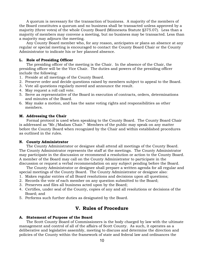A quorum is necessary for the transaction of business. A majority of the members of the Board constitutes a quorum and no business shall be transacted unless approved by a majority (three votes) of the whole County Board (Minnesota Statute §375.07). Less than a majority of members may convene a meeting, but no business may be transacted. Less than a majority may adjourn the meeting.

Any County Board member who, for any reason, anticipates or plans an absence at any regular or special meeting is encouraged to contact the County Board Chair or the County Administrator to indicate his or her planned absence.

#### **L. Role of Presiding Officer**

The presiding officer of the meeting is the Chair. In the absence of the Chair, the presiding officer will be the Vice Chair. The duties and powers of the presiding officer include the following:

- 1. Preside at all meetings of the County Board.
- 2. Preserve order and decide questions raised by members subject to appeal to the Board.
- 3. Vote all questions regularly moved and announce the result.
- 4. May request a roll call vote.
- 5. Serve as representative of the Board in execution of contracts, orders, determinations and minutes of the Board.
- 6. May make a motion, and has the same voting rights and responsibilities as other members.

#### **M. Addressing the Chair**

Formal protocol is used when speaking to the County Board. The County Board Chair is addressed as "Mr./Madam Chair." Members of the public may speak on any matter before the County Board when recognized by the Chair and within established procedures as outlined in the rules.

#### **N. County Administrator**

The County Administrator or designee shall attend all meetings of the County Board. The County Administrator represents the staff at the meetings. The County Administrator may participate in the discussion or recommend a resolution or action to the County Board. A member of the Board may call on the County Administrator to participate in the discussion or request a verbal recommendation on any subject pending before the Board.

The County Administrator or designee shall prepare a written agenda for all regular and special meetings of the County Board. The County Administrator or designee also:

- 1. Makes regular entries of all Board resolutions and decisions upon all questions;
- 2. Records the vote of each member on any question submitted to the Board;
- 3. Preserves and files all business acted upon by the Board;
- 4. Certifies, under seal of the County, copies of any and all resolutions or decisions of the Board; and
- 5. Performs such further duties as designated by the Board.

# <span id="page-9-0"></span>**V. Rules of Procedure**

#### **A. Statement of Purpose of the Board**

The Scott County Board of Commissioners is the body charged by law with the ultimate management and control of all of the affairs of Scott County. As such, it operates as a deliberative and legislative assembly, meeting to discuss and determine the direction and policies of the County within the framework of state and federal law and ordinances the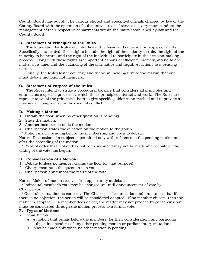County Board may adopt. The various elected and appointed officials charged by law or the County Board with the operation of substantive areas of service delivery must conduct the management of their respective departments within the limits established by law and the County Board.

#### **B. Statement of Principles of the Rules**

The foundation for Rules of Order lies in the basic and enduring principles of rights. Specifically enunciated, these rights include the right of the majority to rule, the right of the minority to be heard, and the right of the individual to participate in the decision-making process. Along with these rights are important canons of efficiency; namely, attend to one matter at a time, and the balancing of the affirmative and negative factions to a pending matter.

Finally, the Rules foster courtesy and decorum, holding firm to the maxim that one must debate motions, not members.

#### **C. Statement of Purpose of the Rules**

The Rules intend to strike a procedural balance that considers all principles and enunciates a specific process by which those principles interact and work. The Rules are representative of the principles, both to give specific guidance on method and to provide a reasonable compromise in the event of conflict.

#### **D. Making a Motion.**

- 1. Obtain the floor (when no other question is pending).
- 2. State the motion.
- 3. Another member seconds the motion.
- 4. Chairperson states the question on the motion to the group.
- \* Motion is now pending before the membership and open to debate.

Notes: Discussion of a subject is permitted only with reference to the pending motion and after the seconding of the motion.

 \* Point of order that motion has not been seconded may not be made after debate or the taking of the vote has begun.

#### **E. Consideration of a Motion**

- 1. Debate (unless no member claims the floor for that purpose).
- 2. Chairperson puts the question to a vote.
- 3. Chairperson announces the result of the vote.

Notes: Maker of motion receives first opportunity at debate.

 \* Individual member's vote may be changed up until announcement of vote by Chairperson.

 \* General or unanimous consent. The Chair specifies an action and announces that if there is no objection, the action will be considered adopted. If no member objects, then the matter is adopted. If a member does object, the matter may not proceed by consensus but must be considered through the motion process to a formal vote.

#### **F. Types of Motions**

#### *1. Main Motion*

- A. A motion that brings before the members, for their consideration, any particular subject independent of any other pending motion or parliamentary situation.
- B. May be made only when no other motion is pending.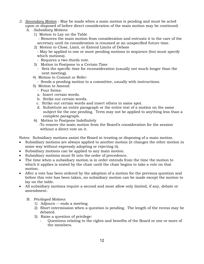- *2. Secondary Motion* May be made when a main motion is pending and must be acted upon or disposed of before direct consideration of the main motion may be continued.
	- A. *Subsidiary Motions*
		- 1) Motion to Lay on the Table
			- Removes the main motion from consideration and entrusts it to the care of the secretary until its consideration is resumed at an unspecified future time.
		- 2) Motion to Close, Limit, or Extend Limits of Debate
		- May be applied to one or more pending motions in sequence (but must specify which motions).
		- Requires a two-thirds vote.
		- 3) Motion to Postpone to a Certain Time
			- Sets the specific time for reconsideration (usually not much longer than the next meeting).
		- 4) Motion to Commit or Refer:
			- Sends a pending motion to a committee, usually with instructions.
		- 5) Motion to Amend:
			- Four forms:
			- a. Insert certain words.
			- b. Strike out certain words.
			- c. Strike out certain words and insert others in same spot.
			- d. Substitute an entire paragraph or the entire text of a motion on the same subject for the one pending. Term may not be applied to anything less than a complete paragraph.
		- 6) Motion to Postpone Indefinitely
			- -To remove the main motion from the Board's consideration for the session without a direct vote on it.

Notes: Subsidiary motions assist the Board in treating or disposing of a main motion.

- Subsidiary motions are always applied to another motion (it changes the other motion in some way without expressly adopting or rejecting it).
- Subsidiary motions can be applied to any main motion.
- Subsidiary motions must fit into the order of precedence.
- The time when a subsidiary motion is in order extends from the time the motion to which it applies is stated by the chair until the chair begins to take a vote on that motion.
- After a vote has been ordered by the adoption of a motion for the previous question and before this vote has been taken, no subsidiary motion can be made except the motion to lay on the table.
- All subsidiary motions require a second and most allow only limited, if any, debate or amendment.
	- B. *Privileged Motions*
		- 1) Adjourn -- ends a meeting
		- 2) Short intermission when a question is pending. The length of the recess may be debated.
		- 3) Raise a question of privilege:
			- Questions relating to the rights and benefits of the Board or one or more of the members.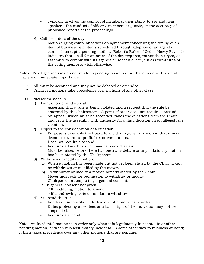- Typically involves the comfort of members, their ability to see and hear speakers, the conduct of officers, members or guests, or the accuracy of published reports of the proceedings.
- 4) Call for orders of the day:
	- Motion urging compliance with an agreement concerning the timing of an item of business, e.g. items scheduled through adoption of an agenda cannot interrupt a pending motion. Robert's Rules of Order (Newly Revised) indicates that a call for an order of the day requires, rather than urges, as assembly to comply with its agenda or schedule, etc., unless two-thirds of the voting members wish otherwise.

Notes: Privileged motions do not relate to pending business, but have to do with special matters of immediate importance.

- \* All must be seconded and may not be debated or amended
- Privileged motions take precedence over motions of any other class
- C. *Incidental Motions*
	- 1) Point of order and appeal:
		- Assertion that a rule is being violated and a request that the rule be enforced by the chairperson. A point of order does not require a second.
		- An appeal, which must be seconded, takes the questions from the Chair and vests the assembly with authority for a final decision on an alleged rule violation.
	- 2) Object to the consideration of a question:
		- Purpose is to enable the Board to avoid altogether any motion that it may deem irrelevant, unprofitable, or contentious.
		- Does not require a second.
		- Requires a two-thirds vote against consideration.
		- Must be raised before there has been any debate or any subsidiary motion has been stated by the Chairperson.
	- 3) Withdraw or modify a motion:
		- a) When a motion has been made but not yet been stated by the Chair, it can be withdrawn or modified by the mover.
		- b) To withdraw or modify a motion already stated by the Chair:
		- Mover must ask for permission to withdraw or modify
		- Chairperson attempts to get general consent.
		- c) If general consent not given:
			- \*If modifying, motion to amend
			- \*If withdrawing, vote on motion to withdraw
	- 4) Suspend the rules:
		- Renders temporarily ineffective one of more rules of order.
		- Rules protecting absentees or a basic right of the individual may not be suspended.
		- Requires a second.

Note: An incidental motion is in order only when it is legitimately incidental to another pending motion, or when it is legitimately incidental in some other way to business at hand; it then takes precedence over any other motions that are pending.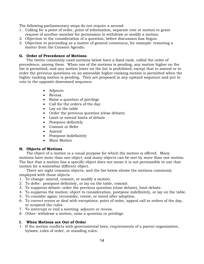The following parliamentary steps do not require a second:

- 1. Calling for a point of order, point of information, separate vote or motion to grant request of another member for permission to withdraw or modify a motion.
- 2. Objection to the consideration of a question, before discussion has begun.
- 3. Objection to proceeding as a matter of general consensus, for example: removing a matter from the Consent Agenda.

#### **G. Order of Precedence of Motions**

The twelve commonly-used motions below have a fixed rank, called the order of precedence, among them. When one of the motions is pending, any motion higher on the list is permitted, and any motion lower on the list is prohibited, except that to amend or to order the previous questions on an amenable higher-ranking motion is permitted when the higher ranking motion is pending. They are proposed in any upward sequence and put to vote in the opposite downward sequence.

- Adjourn
- Recess
- Raise a question of privilege
- Call for the orders of the day
- Lay on the table
- Order the previous question (close debate)
- Limit or extend limits of debate
- Postpone definitely
- Commit or Refer
- Amend
- Postpone Indefinitely
- Main Motion

#### **H. Objects of Motions**

The object of a motion is a usual purpose for which the motion is offered. Many motions have more than one object, and many objects can be met by more than one motion. The fact that a motion has a specific object does not mean it is not permissible to use that motion for a somewhat different object.

There are eight common objects, and the list below shows the motions commonly employed with those objects.

- 1. To change: amend, commit, or modify a motion.
- 2. To defer: postpone definitely, or lay on the table, commit.
- 3. To suppress debate: order the previous question (close debate), limit debate.
- 4. To suppress the motion: object to consideration, postpone indefinitely, or lay on the table.
- 5. To consider again: reconsider, renew, or mend after adoption.
- 6. To correct errors or deal with exceptions: point of order, appeal call or orders of the day, or suspend the rules.
- 7. To interrupt or end a meeting: adjourn or recess.
- 8. Other: withdraw a motion, raise a question or privilege.

#### **I. When Motions are Out of Order**

1. If the motion conflicts with governmental laws, requirements of a parent organization, bylaws, rules of order, or standing rules.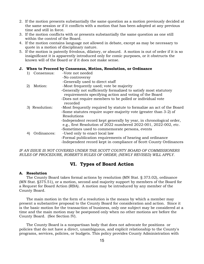- 2. If the motion presents substantially the same question as a motion previously decided at the same session or if it conflicts with a motion that has been adopted at any previous time and still in force.
- 3. If the motion conflicts with or presents substantially the same question as one still within the control of the Board.
- 4. If the motion contains language not allowed in debate, except as may be necessary to quote in a motion of disciplinary nature.
- 5. If the motion is patently frivolous, dilatory, or absurd. A motion is out of order if it is so insignificant it is apparently introduced only for comic purposes, or it obstructs the known will of the Board or if it does not make sense.

#### **J. When to Proceed by Consensus, Motion, Resolution, or Ordinance**

|    | Consensus:     | -Vote not needed                                                      |
|----|----------------|-----------------------------------------------------------------------|
|    |                | -No controversy                                                       |
|    |                | -Generally used to direct staff                                       |
| 2) | Motion:        | -Most frequently used; vote be majority                               |
|    |                | -Generally not sufficiently formalized to satisfy most statutory      |
|    |                | requirements specifying action and voting of the Board                |
|    |                | -Does not require members to be polled or individual vote<br>recorded |
|    | 3) Resolution: | -Most frequently required by statute to formalize an act of the Board |
|    |                | -Some statutes require super-majority vote (greater than 3-2) of      |
|    |                | Resolutions                                                           |
|    |                | -Independent record kept generally by year, in chronological order,   |
|    |                | e.g., first Resolution of 2022 numbered 2022-001, 2022-002, etc.      |
|    |                | -Sometimes used to commemorate persons, events                        |
| 41 | Ordinances:    | -Used only to enact local law                                         |
|    |                | -Formal publication requirements of hearing and ordinance             |
|    |                | -Independent record kept in compliance of Scott County Ordinances     |

*IF AN ISSUE IS NOT COVERED UNDER THE SCOTT COUNTY BOARD OF COMMISSIONERS RULES OF PROCEDURE, ROBERT'S RULES OF ORDER, (NEWLY REVISED) WILL APPLY.*

# <span id="page-14-0"></span>**VI. Types of Board Action**

#### **A. Resolution**

The County Board takes formal actions by resolution (MN Stat. § 373.02), ordinance (MN Stat. §375.51), or a motion, second and majority support by members of the Board for a Request for Board Action (RBA). A motion may be introduced by any member of the County Board.

The main motion in the form of a resolution is the means by which a member may present a substantive proposal to the County Board for consideration and action. Since it is the basic motion for the transaction of business, only one subject may be considered at a time and the main motion may be postponed only when no other motions are before the County Board. (See Section IV).

The County Board is a nonpartisan body that does not advocate for positions or policies that do not have a direct, unambiguous, and explicit relationship to the County's programs, services, policies, or budgets. This policy provides County Administration with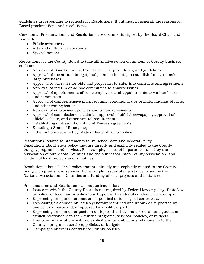guidelines in responding to requests for Resolutions. It outlines, in general, the reasons for Board proclamations and resolutions.

Ceremonial Proclamations and Resolutions are documents signed by the Board Chair and issued for:

- Public awareness
- Arts and cultural celebrations
- Special honors

Resolutions for the County Board to take affirmative action on an item of County business such as:

- Approval of Board minutes, County policies, procedures, and guidelines
- Approval of the annual budget, budget amendments, to establish funds, to make large purchases
- Approval to advertise for bids and proposals, to enter into contracts and agreements
- Approval of interim or ad hoc committees to analyze issues
- Approval of appointments of some employees and appointments to various boards and committees
- Approval of comprehensive plan, rezoning, conditional use permits, findings of facts, and other zoning issues
- Approval of employment policies and union agreements
- Approval of commissioner's salaries, approval of official newspaper, approval of official website, and other annual requirements
- Establishing or dissolution of Joint Powers Agreements
- Enacting a State of Emergency
- Other actions required by State or Federal law or policy

Resolutions Related to Statements to Influence State and Federal Policy: Resolutions about State policy that are directly and explicitly related to the County budget, programs, and services. For example, issues of importance raised by the Association of Minnesota Counties and the Minnesota Inter-County Association, and funding of local projects and initiatives.

Resolutions about Federal policy that are directly and explicitly related to the County budget, programs, and services. For example, issues of importance raised by the National Association of Counties and funding of local projects and initiatives.

Proclamations and Resolutions will not be issued for:

- Issues in which the County Board is not required by Federal law or policy, State law or policy, or local law or policy to act upon unless identified above. For example:
- Expressing an opinion on matters of political or ideological controversy
- Expressing an opinion on issues generally identified and known as supported by one political party and/or opposed by a political party
- Expressing an opinion or position on topics that have no direct, unambiguous, and explicit relationship to the County's programs, services, policies, or budgets
- Events or organizations with no explicit and unambiguous relationship to the County's programs, services, policies, or budgets
- Campaigns or events contrary to County policies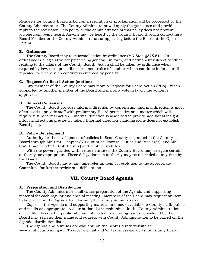Requests for County Board action on a resolution or proclamation will be processed by the County Administrator. The County Administrator will apply the guidelines and provide a reply to the requestor. This policy or the administration of this policy does not prevent anyone from being heard. Anyone may be heard by the County Board through contacting a Board Member or the County Administrator, or appearing before the Board at the Open Forum.

#### **B. Ordinance**

The County Board may take formal action by ordinance (MN Stat. §375.51). An ordinance is a legislative act prescribing general, uniform, and permanent rules of conduct relating to the affairs of the County Board. Action shall be taken by ordinance when required by law, or to prescribe permanent rules of conduct which continue in force until repealed, or where such conduct is enforced by penalty.

#### **C. Request for Board Action (motion)**

Any member of the County Board may move a Request for Board Action (RBA). When supported by another member of the Board and majority vote in favor, the action is approved.

#### **D. General Consensus**

The County Board provides informal direction by consensus. Informal direction is most often used to provide staff with preliminary Board perspective on a matter which will require future formal action. Informal direction is also used to provide additional insight into formal actions previously taken. Informal direction standing alone does not establish Board policy.

#### **E. Policy Development**

Authority for the development of policies in Scott County is granted to the County Board through MN Stat. Chapter 373 (Counties, Powers, Duties and Privileges), and MN Stat. Chapter 383D (Scott County) and in other statutes.

With the powers granted within these statutes, the County Board may delegate certain authority, as appropriate. These delegations on authority may be rescinded at any time by the Board.

The County Board may at any time refer an item or resolution to the appropriate Committee for further review and deliberation.

# <span id="page-16-0"></span>**VII. County Board Agenda**

#### **A. Preparation and Distribution**

The County Administrator shall cause preparation of the Agenda and supporting material for each regular and special meeting. Members of the Board may request an item to be placed on the Agenda by informing the County Administrator.

Copies of the Agenda and supporting material are made available to County staff, public and media as appropriate. A distribution list is maintained in the County Administration office. Members of the public who are interested in following issues considered by the Board may register their name and address with County Administration to be placed on the Agenda distribution list.

The Agenda and Minutes are available on the Scott County website at [www.scottcountymn.gov.](http://www.scottcountymn.gov/) To receive email and/or text message alerts for County Board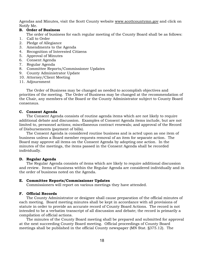Agendas and Minutes, visit the Scott County website [www.scottcountymn.gov](http://www.scottcountymn.gov/) and click on Notify Me.

#### **B. Order of Business**

The order of business for each regular meeting of the County Board shall be as follows:

- 1. Call to Order
- 2. Pledge of Allegiance
- 3. Amendments to the Agenda
- 4. Recognition of Interested Citizens
- 5. Approval of Minutes
- 6. Consent Agenda
- 7. Regular Agenda
- 8. Committee Reports/Commissioner Updates
- 9. County Administrator Update
- 10. Attorney/Client Meeting
- 11. Adjournment

The Order of Business may be changed as needed to accomplish objectives and priorities of the meeting. The Order of Business may be changed at the recommendation of the Chair, any members of the Board or the County Administrator subject to County Board consensus.

#### **C. Consent Agenda**

The Consent Agenda consists of routine agenda items which are not likely to require additional debate and discussion. Examples of Consent Agenda items include, but are not limited to, personnel actions; miscellaneous contract renewals; and approval of the Record of Disbursements (payment of bills).

The Consent Agenda is considered routine business and is acted upon as one item of business unless a Board member requests removal of an item for separate action. The Board may approve all items on the Consent Agenda by adopting one action. In the minutes of the meetings, the items passed in the Consent Agenda shall be recorded individually.

#### **D. Regular Agenda**

The Regular Agenda consists of items which are likely to require additional discussion and review. Items of business within the Regular Agenda are considered individually and in the order of business noted on the Agenda.

#### **E. Committee Reports/Commissioner Updates**

Commissioners will report on various meetings they have attended.

#### **F. Official Records**

The County Administrator or designee shall cause preparation of the official minutes of each meeting. Board meeting minutes shall be kept in accordance with all provisions of statute in order to provide an accurate record of County Board Actions. The record is not intended to be a verbatim transcript of all discussion and debate; the record is primarily a compilation of official actions.

The minutes of the County Board meeting shall be prepared and submitted for approval at the next succeeding County Board meeting. Official proceedings of County Board meetings shall be published in the official County newspaper (MN Stat. §375.12). The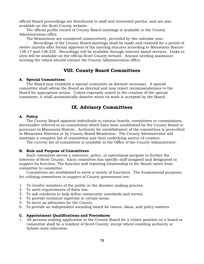official Board proceedings are distributed to staff and interested parties, and are also available on the Scott County website.

The official public record of County Board meetings is available in the County Administration office.

The Resolutions are numbered consecutively, preceded by the calendar year.

Recordings of the County Board meetings shall be made and retained for a period of  $\sim$ twelve months after formal approval of the meeting minutes according to Minnesota Statute 138.17 and 138.225. Recordings will be available through internet based services. Links to sites will be available on the official Scott County website. Anyone needing assistance locating the videos should contact the County Administration office.

# <span id="page-18-0"></span>**VIII. County Board Committees**

#### **A. Special Committees:**

The Board may establish a special committee as deemed necessary. A special committee shall advise the Board as directed and may report recommendations to the Board for appropriate action. Unless expressly stated in the creation of the special committee, it shall automatically dissolve when its work is accepted by the Board.

# <span id="page-18-1"></span>**IX. Advisory Committees**

#### **A. Policy**

The County Board appoints individuals to various boards, committees or commissions, (hereinafter referred to as committees) which have been established by the County Board or pursuant to Minnesota Statute. Authority for establishment of the committees is prescribed in Minnesota Statutes or by County Board Resolution. The County Administrator will maintain a complete list of committees and their underlying source of creation.

The current list of committees is available in the Office of the County Administrator.

#### **B. Role and Purpose of Committees**

Each committee serves a statutory, policy, or operational purpose to further the interests of Scott County. Each committee has specific staff assigned and designated to support its function. The function and reporting relationship to the Board varies from committee to committee.

Committees are established to serve a variety of functions. The fundamental purposes for utilizing committees in support of County government are:

- 1. To involve members of the public in the decision making process.
- 2. To meet requirements of State law.
- 3. To ask residents to help define community standards and norms.
- 4. To provide technical expertise in certain areas.
- 5. To serve as advocates for the County.
- 6. To provide an independent sounding board for issues, ideas, and policy matters.

#### **C. Appointment Qualifications and Procedures**

1. All persons making application to the County Board for a citizen position on a board or committee shall be a resident of Scott County, except where enabling authority or bylaws state otherwise.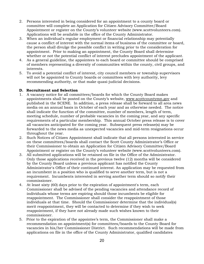- 2. Persons interested in being considered for an appointment to a county board or committee will complete an Application for Citizen Advisory Committee/Board Appointment or register on the County's volunteer website [\(www.scottvolunteers.com\)](http://www.scottvolunteers.com/). Applications will be available in the office of the County Administrator.
- 3. When an individual's regular employment or financial relationship may potentially cause a conflict of interest with the normal items of business of the committee or board, the person shall divulge the possible conflict in writing prior to the consideration for appointment. Prior to making an appointment, the County Board shall determine whether or not the potential conflict of interest precludes appointment of the applicant.
- 4. As a general guideline, the appointees to each board or committee should be comprised of members representing a diversity of communities within the county, civil groups, and interests.
- 5. To avoid a potential conflict of interest, city council members or township supervisors will not be appointed to County boards or committees with levy authority, levy recommending authority, or that make quasi-judicial decisions.

#### **D. Recruitment and Selection**

- 1. A vacancy notice for all committees/boards for which the County Board makes appointments shall be posted on the County's website, [www.scottcountymn.gov](http://www.scottcountymn.gov/) and published in the SCENE. In addition, a press release shall be forward to all area news media on an annual basis in October of each year and as otherwise needed. The notice shall indicate the function of the committee, number of members, length of term, meeting schedule, number of probable vacancies in the coming year, and any specific requirements of a particular membership. This annual October press release is to cover all vacancies anticipated for the coming year. Subsequent press release(s) may be forwarded to the news media as unexpected vacancies and mid-term resignations occur throughout the year.
- 2. Such Notices of Citizen Appointment shall indicate that all persons interested in service on these committees/boards shall contact the Scott County Administrator's Office or their Commissioner to obtain an Application for Citizen Advisory Committee/Board Appointment or register on the County's volunteer website [\(www.scottvolunteers.com\)](http://www.scottvolunteers.com/).
- 3. All submitted applications will be retained on file in the Office of the Administrator. Only those applications received in the previous twelve (12) months will be considered by the County Board unless a previous applicant has notified the County Administrator's Office of their continued interest. An application may be requested from an incumbent in a position who is qualified to serve another term, but is not a requirement. Incumbents interested in serving another term should so notify their commissioner.
- 4. At least sixty (60) days prior to the expiration of appointment's term, each Commissioner shall be advised of the pending vacancies and attendance record of individuals whose terms are expiring should those incumbents be eligible for reappointment. The Commissioner shall consider the reappointment of those individuals at that time. Should the Commissioner determine that the individual(s) merit reappointment, they will be contacted to determine if they wish to seek reappointment, if they have not already made such wishes known to their commissioner.
- 5. Prior to the expiration of the appointee's term, the Commissioner shall make a recommendation on appointment(s) for committees/boards to the County Board for vacancies in his/her Commissioner District. Such recommendations will be made from applications on file in the office of the County Administrator, qualified candidates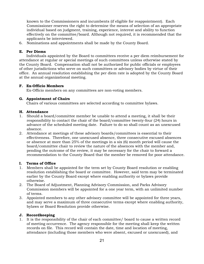known to the Commissioners and incumbents (if eligible for reappointment). Each Commissioner reserves the right to determine the means of selection of an appropriate individual based on judgment, training, experience, interest and ability to function effectively on the committee/board. Although not required, it is recommended that the applicants be interviewed.

6. Nominations and appointments shall be made by the County Board.

#### **E. Per Diems**

Individuals appointed by the Board to committees receive a per diem reimbursement for attendance at regular or special meetings of such committees unless otherwise stated by the County Board. Compensation shall not be authorized for public officials or employees of other jurisdictions who serve on such committees or advisory bodies by virtue of their office. An annual resolution establishing the per diem rate is adopted by the County Board at the annual organizational meeting.

#### **F. Ex-Officio Members**

Ex-Officio members on any committees are non-voting members.

#### **G. Appointment of Chairs**

Chairs of various committees are selected according to committee bylaws.

#### **H. Attendance**

- 1. Should a board/committee member be unable to attend a meeting, it shall be their responsibility to contact the chair of the board/committee twenty-four (24) hours in advance of the scheduled meeting date. Failure to do so shall count as an unexcused absence.
- 2. Attendance at meetings of these advisory boards/committees is essential to their effectiveness. Therefore, one unexcused absence, three consecutive excused absences or absence at more than 25% of the meetings in a six (6) month period will cause the board/committee chair to review the nature of the absences with the member and, pending the outcome of the review, it may be necessary for the chair to forward a recommendation to the County Board that the member be removed for poor attendance.

#### **I. Terms of Office**

- 1. Members shall be appointed for the term set by County Board resolution or enabling resolution establishing the board or committee. However, said term may be terminated earlier by the County Board except where enabling authority or bylaws provide otherwise.
- 2. The Board of Adjustment, Planning Advisory Commission, and Parks Advisory Commission members will be appointed for a one year term, with an unlimited number of terms.
- 3. Appointed members to any other advisory committee will be appointed for three years, and may serve a maximum of three consecutive terms except where enabling authority, bylaws or Board Resolution provide otherwise.

### **J. Recordkeeping**

1. It is the responsibility of the chair of each committee/ board to cause a written record of meeting occurrence. The agency responsible for the meeting shall keep the written records on file. This record will contain the date, time and location of meeting, attendance (including those members who were absent, excused or unexcused), and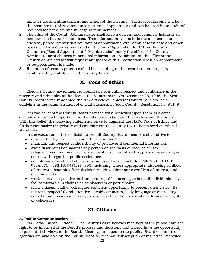minutes documenting content and action of the meeting. Such recordkeeping will be the resource to review attendance patterns of appointees and can be used in an audit of requests for per diem and mileage reimbursement.

- 2. The office of the County Administrator shall keep a current and complete listing of all members on boards/committees. This information will include the member's name, address, phone, county district, date of appointment, expiration of term date and other relevant information as requested on the form "Application for Citizen Advisory Committee/Board Appointment." Members shall notify the office of the County Administrator of changes in personal information. At minimum, the office of the County Administrator will request an update of this information when an appointment or reappointment is made.
- 3. Retention of records practices shall be according to the records retention policy established by statute or by the County Board.

# <span id="page-21-0"></span>**X. Code of Ethics**

Effective County government is premised upon public respect and confidence in the integrity and principles of the elected Board members. On December 26, 1995, the Scott County Board formally adopted the NACo "Code of Ethics for County Officials" as a guideline in the administration of official business in Scott County (Resolution No. 95149).

It is the belief of the County Board that the trust bestowed upon them as elected officials is of utmost importance in the relationship between themselves and the public. With this belief, the following statements serve to augment the NACo Code of Ethics and further emphasize the priority and commitment the County Board has placed on ethical standards.

In the execution of their official duties, all County Board members shall strive to:

- observe the highest moral and ethical standards.
- maintain and respect confidentiality of private and confidential information.
- avoid discrimination against any person on the basis of race, color, sex, religion, creed, national origin, age, disability, marital status, place of residence, or status with regard to public assistance.
- comply with the ethical obligations imposed by law, including MN Stat. §10A.07, §10A.071, §382.18, §471.87-.895, including, where appropriate, disclosing conflicts of interest, abstaining from decision-making, eliminating conflicts of interest, and declining gifts.
- work to create a positive environment in public meetings where all individuals may feel comfortable in their roles as observers or participants.
- allow citizens, staff or colleagues sufficient opportunity to present their views. Be tolerant, respectful and attentive. Avoid comments, body language or distracting activity that conveys a message of disrespect for the presentations from citizens, staff or colleagues.

# <span id="page-21-1"></span>**XI. Citizens**

#### **A. Public Communication**

*Individual Citizen Outreach*: The County Board believes members of the public have the right to be informed of the Board's process and decisions and should have the opportunity to present their views to the Board. Meetings are open to the public. Board/committee agendas are available on the County website, by email subscription or mailed to interested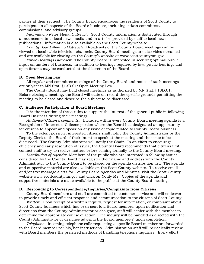parties at their request. The County Board encourages the residents of Scott County to participate in all aspects of the Board's business, including citizen committees, commissions, and advisory groups.

*Information/News Media Outreach*: Scott County information is distributed through announcements to local news media and in articles provided by staff to local news publications. Information is also available on the Scott County website.

*County Board Meeting Outreach*: Broadcasts of the County Board meetings can be viewed on local cable television channels. County Board meetings are also video streamed and are available for viewing on the County's website at www.scottcountymn.gov.

*Public Hearings Outreach*: The County Board is interested in securing optimal public input on matters of business. In addition to hearings required by law, public hearings and open forums may be conducted at the discretion of the Board.

#### **B. Open Meeting Law**

All regular and committee meetings of the County Board and notice of such meetings are subject to MN Stat. §13D.01: Open Meeting Law.

The County Board may hold closed meetings as authorized by MN Stat. §13D.01. Before closing a meeting, the Board will state on record the specific grounds permitting the meeting to be closed and describe the subject to be discussed.

#### **C. Audience Participation at Board Meetings**

It is the intention of these rules to support the interest of the general public in following Board Business during their meetings.

*Audience/Citizen's comments:* Included within every County Board meeting agenda is a Recognition of Interested Citizens portion where the Board has designated an opportunity for citizens to appear and speak on any issue or topic related to County Board business.

To the extent possible, interested citizens shall notify the County Administrator or the Deputy Clerk to the Board of their intent to speak at the meeting and the issue to be discussed. The County Administrator will notify the Chair. In an effort to encourage efficiency and early resolution of issues, the County Board recommends that citizens first contact staff to try to resolve matters before coming formally to the County Board meeting.

*Distribution of Agenda:* Members of the public who are interested in following issues considered by the County Board may register their name and address with the County Administrator to the County Board to be placed on the agenda distribution list. The agenda and supportive material are also available on the Scott County website. To receive email and/or text message alerts for County Board Agendas and Minutes, visit the Scott County website [www.scottcountymn.gov](http://www.scottcountymn.gov/) and click on Notify Me. Copies of the agenda and supportive materials are made available to the public at the County Board meeting.

#### **D. Responding to Correspondence/Inquiries/Complaints from Citizens**

County Board members and staff are committed to customer service and will endeavor to provide timely and efficient response and communication to the citizens of Scott County.

*Written*: Upon receipt of a written inquiry, request for information, or complaint about Scott County business which has been sent to a Board member, upon notification and directions from the County Administrator or designee, staff will confer with the member to determine the appropriate course of action. The inquiry will be handled as directed with the County Administrator or designee advising the Board member(s) upon completion.

*Telephone*. Incoming telephone calls requesting a specific Board member are forwarded to the Board member per his/her instructions. Administration staff will periodically review with Board members the preferred methods of handling telephone inquiries. Every effort